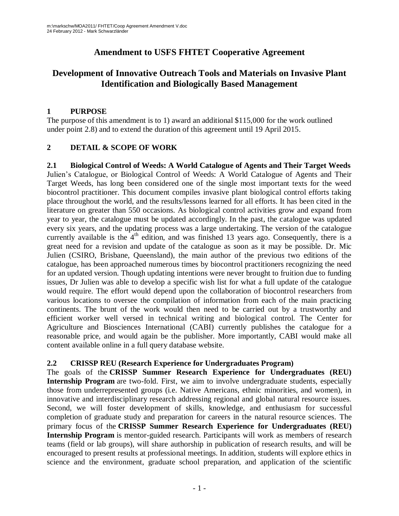# **Amendment to USFS FHTET Cooperative Agreement**

# **Development of Innovative Outreach Tools and Materials on Invasive Plant Identification and Biologically Based Management**

#### **1 PURPOSE**

The purpose of this amendment is to 1) award an additional \$115,000 for the work outlined under point 2.8) and to extend the duration of this agreement until 19 April 2015.

### **2 DETAIL & SCOPE OF WORK**

**2.1 Biological Control of Weeds: A World Catalogue of Agents and Their Target Weeds** Julien's Catalogue, or Biological Control of Weeds: A World Catalogue of Agents and Their Target Weeds, has long been considered one of the single most important texts for the weed biocontrol practitioner. This document compiles invasive plant biological control efforts taking place throughout the world, and the results/lessons learned for all efforts. It has been cited in the literature on greater than 550 occasions. As biological control activities grow and expand from year to year, the catalogue must be updated accordingly. In the past, the catalogue was updated every six years, and the updating process was a large undertaking. The version of the catalogue currently available is the 4<sup>th</sup> edition, and was finished 13 years ago. Consequently, there is a great need for a revision and update of the catalogue as soon as it may be possible. Dr. Mic Julien (CSIRO, Brisbane, Queensland), the main author of the previous two editions of the catalogue, has been approached numerous times by biocontrol practitioners recognizing the need for an updated version. Though updating intentions were never brought to fruition due to funding issues, Dr Julien was able to develop a specific wish list for what a full update of the catalogue would require. The effort would depend upon the collaboration of biocontrol researchers from various locations to oversee the compilation of information from each of the main practicing continents. The brunt of the work would then need to be carried out by a trustworthy and efficient worker well versed in technical writing and biological control. The Center for Agriculture and Biosciences International (CABI) currently publishes the catalogue for a reasonable price, and would again be the publisher. More importantly, CABI would make all content available online in a full query database website.

#### **2.2 CRISSP REU (Research Experience for Undergraduates Program)**

The goals of the **CRISSP Summer Research Experience for Undergraduates (REU) Internship Program** are two-fold. First, we aim to involve undergraduate students, especially those from underrepresented groups (i.e. Native Americans, ethnic minorities, and women), in innovative and interdisciplinary research addressing regional and global natural resource issues. Second, we will foster development of skills, knowledge, and enthusiasm for successful completion of graduate study and preparation for careers in the natural resource sciences. The primary focus of the **CRISSP Summer Research Experience for Undergraduates (REU) Internship Program** is mentor-guided research. Participants will work as members of research teams (field or lab groups), will share authorship in publication of research results, and will be encouraged to present results at professional meetings. In addition, students will explore ethics in science and the environment, graduate school preparation, and application of the scientific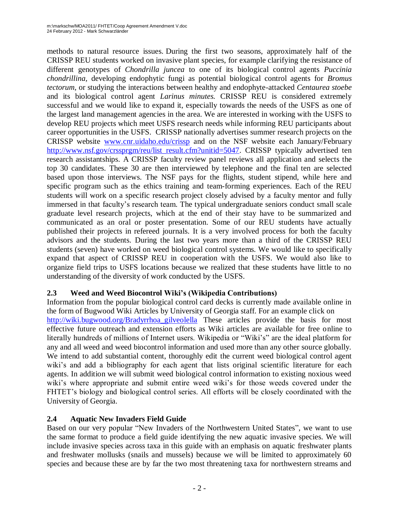methods to natural resource issues. During the first two seasons, approximately half of the CRISSP REU students worked on invasive plant species, for example clarifying the resistance of different genotypes of *Chondrilla juncea* to one of its biological control agents *Puccinia chondrillina,* developing endophytic fungi as potential biological control agents for *Bromus tectorum,* or studying the interactions between healthy and endophyte-attacked *Centaurea stoebe*  and its biological control agent *Larinus minutes.* CRISSP REU is considered extremely successful and we would like to expand it, especially towards the needs of the USFS as one of the largest land management agencies in the area. We are interested in working with the USFS to develop REU projects which meet USFS research needs while informing REU participants about career opportunities in the USFS. CRISSP nationally advertises summer research projects on the CRISSP website [www.cnr.uidaho.edu/crissp](http://www.cnr.uidaho.edu/crissp) and on the NSF website each January/February *<u>2T[http://www.nsf.gov/crssprgm/reu/list\\_result.cfm?unitid=5047](http://www.nsf.gov/crssprgm/reu/list_result.cfm?unitid=5047)</u>. CRISSP typically advertised ten* research assistantships. A CRISSP faculty review panel reviews all application and selects the top 30 candidates. These 30 are then interviewed by telephone and the final ten are selected based upon those interviews. The NSF pays for the flights, student stipend, while here and specific program such as the ethics training and team-forming experiences. Each of the REU students will work on a specific research project closely advised by a faculty mentor and fully immersed in that faculty's research team. The typical undergraduate seniors conduct small scale graduate level research projects, which at the end of their stay have to be summarized and communicated as an oral or poster presentation. Some of our REU students have actually published their projects in refereed journals. It is a very involved process for both the faculty advisors and the students. During the last two years more than a third of the CRISSP REU students (seven) have worked on weed biological control systems. We would like to specifically expand that aspect of CRISSP REU in cooperation with the USFS. We would also like to organize field trips to USFS locations because we realized that these students have little to no understanding of the diversity of work conducted by the USFS.

#### **2.3 Weed and Weed Biocontrol Wiki's (Wikipedia Contributions)**

Information from the popular biological control card decks is currently made available online in the form of Bugwood Wiki Articles by University of Georgia staff. For an example click on [http://wiki.bugwood.org/Bradyrrhoa\\_gilveolella](http://wiki.bugwood.org/Bradyrrhoa_gilveolella) These articles provide the basis for most effective future outreach and extension efforts as Wiki articles are available for free online to literally hundreds of millions of Internet users. Wikipedia or "Wiki's" are the ideal platform for any and all weed and weed biocontrol information and used more than any other source globally. We intend to add substantial content, thoroughly edit the current weed biological control agent wiki's and add a bibliography for each agent that lists original scientific literature for each agents. In addition we will submit weed biological control information to existing noxious weed wiki's where appropriate and submit entire weed wiki's for those weeds covered under the FHTET's biology and biological control series. All efforts will be closely coordinated with the University of Georgia.

### **2.4 Aquatic New Invaders Field Guide**

Based on our very popular "New Invaders of the Northwestern United States", we want to use the same format to produce a field guide identifying the new aquatic invasive species. We will include invasive species across taxa in this guide with an emphasis on aquatic freshwater plants and freshwater mollusks (snails and mussels) because we will be limited to approximately 60 species and because these are by far the two most threatening taxa for northwestern streams and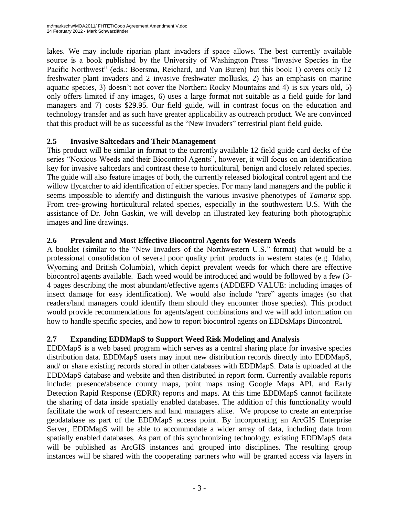lakes. We may include riparian plant invaders if space allows. The best currently available source is a book published by the University of Washington Press "Invasive Species in the Pacific Northwest" (eds.: Boersma, Reichard, and Van Buren) but this book 1) covers only 12 freshwater plant invaders and 2 invasive freshwater mollusks, 2) has an emphasis on marine aquatic species, 3) doesn't not cover the Northern Rocky Mountains and 4) is six years old, 5) only offers limited if any images, 6) uses a large format not suitable as a field guide for land managers and 7) costs \$29.95. Our field guide, will in contrast focus on the education and technology transfer and as such have greater applicability as outreach product. We are convinced that this product will be as successful as the "New Invaders" terrestrial plant field guide.

#### **2.5 Invasive Saltcedars and Their Management**

This product will be similar in format to the currently available 12 field guide card decks of the series "Noxious Weeds and their Biocontrol Agents", however, it will focus on an identification key for invasive saltcedars and contrast these to horticultural, benign and closely related species. The guide will also feature images of both, the currently released biological control agent and the willow flycatcher to aid identification of either species. For many land managers and the public it seems impossible to identify and distinguish the various invasive phenotypes of *Tamarix* spp. From tree-growing horticultural related species, especially in the southwestern U.S. With the assistance of Dr. John Gaskin, we will develop an illustrated key featuring both photographic images and line drawings.

### **2.6 Prevalent and Most Effective Biocontrol Agents for Western Weeds**

A booklet (similar to the "New Invaders of the Northwestern U.S." format) that would be a professional consolidation of several poor quality print products in western states (e.g. Idaho, Wyoming and British Columbia), which depict prevalent weeds for which there are effective biocontrol agents available. Each weed would be introduced and would be followed by a few (3- 4 pages describing the most abundant/effective agents (ADDEFD VALUE: including images of insect damage for easy identification). We would also include "rare" agents images (so that readers/land managers could identify them should they encounter those species). This product would provide recommendations for agents/agent combinations and we will add information on how to handle specific species, and how to report biocontrol agents on EDDsMaps Biocontrol.

### **2.7 Expanding EDDMapS to Support Weed Risk Modeling and Analysis**

EDDMapS is a web based program which serves as a central sharing place for invasive species distribution data. EDDMapS users may input new distribution records directly into EDDMapS, and/ or share existing records stored in other databases with EDDMapS. Data is uploaded at the EDDMapS database and website and then distributed in report form. Currently available reports include: presence/absence county maps, point maps using Google Maps API, and Early Detection Rapid Response (EDRR) reports and maps. At this time EDDMapS cannot facilitate the sharing of data inside spatially enabled databases. The addition of this functionality would facilitate the work of researchers and land managers alike. We propose to create an enterprise geodatabase as part of the EDDMapS access point. By incorporating an ArcGIS Enterprise Server, EDDMapS will be able to accommodate a wider array of data, including data from spatially enabled databases. As part of this synchronizing technology, existing EDDMapS data will be published as ArcGIS instances and grouped into disciplines. The resulting group instances will be shared with the cooperating partners who will be granted access via layers in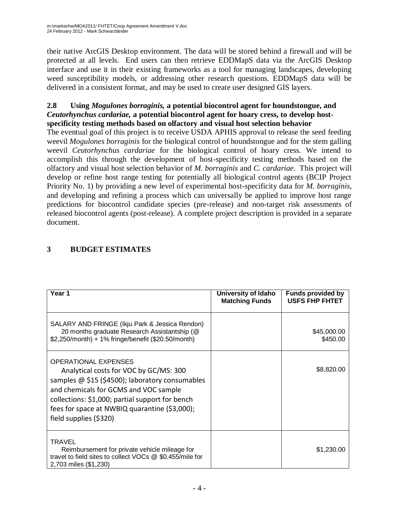their native ArcGIS Desktop environment. The data will be stored behind a firewall and will be protected at all levels. End users can then retrieve EDDMapS data via the ArcGIS Desktop interface and use it in their existing frameworks as a tool for managing landscapes, developing weed susceptibility models, or addressing other research questions. EDDMapS data will be delivered in a consistent format, and may be used to create user designed GIS layers.

#### **2.8 Using** *Mogulones borraginis,* **a potential biocontrol agent for houndstongue, and** *Ceutorhynchus cardariae,* **a potential biocontrol agent for hoary cress, to develop hostspecificity testing methods based on olfactory and visual host selection behavior**

The eventual goal of this project is to receive USDA APHIS approval to release the seed feeding weevil *Mogulones borraginis* for the biological control of houndstongue and for the stem galling weevil *Ceutorhynchus cardariae* for the biological control of hoary cress. We intend to accomplish this through the development of host-specificity testing methods based on the olfactory and visual host selection behavior of *M. borraginis* and *C. cardariae*. This project will develop or refine host range testing for potentially all biological control agents (BCIP Project Priority No. 1) by providing a new level of experimental host-specificity data for *M. borraginis*, and developing and refining a process which can universally be applied to improve host range predictions for biocontrol candidate species (pre-release) and non-target risk assessments of released biocontrol agents (post-release). A complete project description is provided in a separate document.

| Year 1                                                                                                                                                                                                                                                                                          | University of Idaho<br><b>Matching Funds</b> | <b>Funds provided by</b><br><b>USFS FHP FHTET</b> |
|-------------------------------------------------------------------------------------------------------------------------------------------------------------------------------------------------------------------------------------------------------------------------------------------------|----------------------------------------------|---------------------------------------------------|
| SALARY AND FRINGE (Ikju Park & Jessica Rendon)<br>20 months graduate Research Assistantship (@<br>\$2,250/month) + 1% fringe/benefit (\$20.50/month)                                                                                                                                            |                                              | \$45,000.00<br>\$450.00                           |
| <b>OPERATIONAL EXPENSES</b><br>Analytical costs for VOC by GC/MS: 300<br>samples @ \$15 (\$4500); laboratory consumables<br>and chemicals for GCMS and VOC sample<br>collections: \$1,000; partial support for bench<br>fees for space at NWBIQ quarantine (\$3,000);<br>field supplies (\$320) |                                              | \$8,820.00                                        |
| <b>TRAVEL</b><br>Reimbursement for private vehicle mileage for<br>travel to field sites to collect VOCs @ \$0.455/mile for<br>2,703 miles (\$1,230)                                                                                                                                             |                                              | \$1,230.00                                        |

## **3 BUDGET ESTIMATES**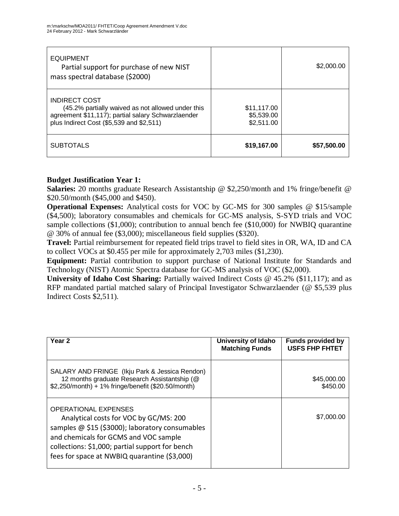| <b>EQUIPMENT</b><br>Partial support for purchase of new NIST<br>mass spectral database (\$2000)                                                                             |                                         | \$2,000.00  |
|-----------------------------------------------------------------------------------------------------------------------------------------------------------------------------|-----------------------------------------|-------------|
| <b>INDIRECT COST</b><br>(45.2% partially waived as not allowed under this<br>agreement \$11,117); partial salary Schwarzlaender<br>plus Indirect Cost (\$5,539 and \$2,511) | \$11,117.00<br>\$5,539.00<br>\$2,511.00 |             |
| <b>SUBTOTALS</b>                                                                                                                                                            | \$19,167.00                             | \$57,500.00 |

#### **Budget Justification Year 1:**

**Salaries:** 20 months graduate Research Assistantship @ \$2,250/month and 1% fringe/benefit @ \$20.50/month (\$45,000 and \$450).

**Operational Expenses:** Analytical costs for VOC by GC-MS for 300 samples @ \$15/sample (\$4,500); laboratory consumables and chemicals for GC-MS analysis, S-SYD trials and VOC sample collections (\$1,000); contribution to annual bench fee (\$10,000) for NWBIQ quarantine @ 30% of annual fee (\$3,000); miscellaneous field supplies (\$320).

**Travel:** Partial reimbursement for repeated field trips travel to field sites in OR, WA, ID and CA to collect VOCs at \$0.455 per mile for approximately 2,703 miles (\$1,230).

**Equipment:** Partial contribution to support purchase of National Institute for Standards and Technology (NIST) Atomic Spectra database for GC-MS analysis of VOC (\$2,000).

**University of Idaho Cost Sharing:** Partially waived Indirect Costs @ 45.2% (\$11,117); and as RFP mandated partial matched salary of Principal Investigator Schwarzlaender (@ \$5,539 plus Indirect Costs \$2,511).

| Year <sub>2</sub>                                                                                                                                                                                                                                                    | University of Idaho<br><b>Matching Funds</b> | <b>Funds provided by</b><br><b>USFS FHP FHTET</b> |
|----------------------------------------------------------------------------------------------------------------------------------------------------------------------------------------------------------------------------------------------------------------------|----------------------------------------------|---------------------------------------------------|
| SALARY AND FRINGE (Ikju Park & Jessica Rendon)<br>12 months graduate Research Assistantship (@<br>\$2,250/month) + 1% fringe/benefit (\$20.50/month)                                                                                                                 |                                              | \$45,000.00<br>\$450.00                           |
| <b>OPERATIONAL EXPENSES</b><br>Analytical costs for VOC by GC/MS: 200<br>samples @ \$15 (\$3000); laboratory consumables<br>and chemicals for GCMS and VOC sample<br>collections: \$1,000; partial support for bench<br>fees for space at NWBIQ quarantine (\$3,000) |                                              | \$7,000.00                                        |